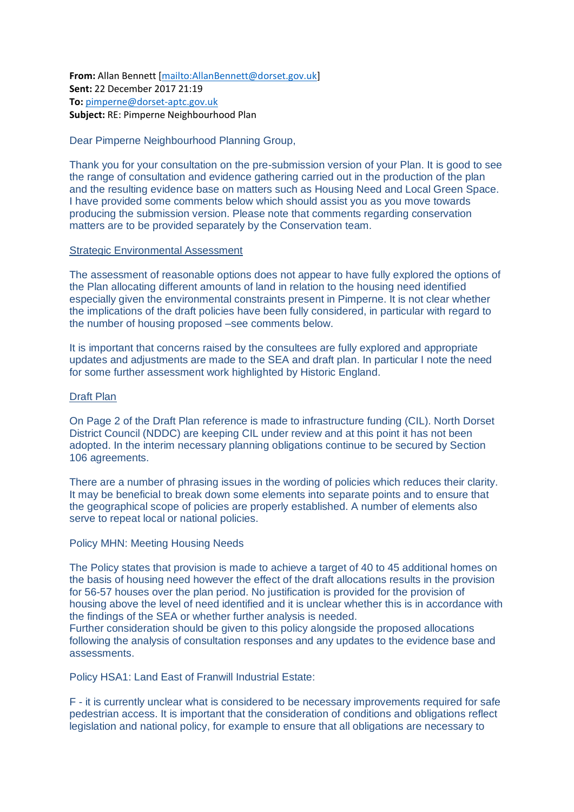**From:** Allan Bennett [\[mailto:AllanBennett@dorset.gov.uk\]](mailto:AllanBennett@dorset.gov.uk) **Sent:** 22 December 2017 21:19 **To:** [pimperne@dorset-aptc.gov.uk](mailto:pimperne@dorset-aptc.gov.uk) **Subject:** RE: Pimperne Neighbourhood Plan

## Dear Pimperne Neighbourhood Planning Group,

Thank you for your consultation on the pre-submission version of your Plan. It is good to see the range of consultation and evidence gathering carried out in the production of the plan and the resulting evidence base on matters such as Housing Need and Local Green Space. I have provided some comments below which should assist you as you move towards producing the submission version. Please note that comments regarding conservation matters are to be provided separately by the Conservation team.

## Strategic Environmental Assessment

The assessment of reasonable options does not appear to have fully explored the options of the Plan allocating different amounts of land in relation to the housing need identified especially given the environmental constraints present in Pimperne. It is not clear whether the implications of the draft policies have been fully considered, in particular with regard to the number of housing proposed –see comments below.

It is important that concerns raised by the consultees are fully explored and appropriate updates and adjustments are made to the SEA and draft plan. In particular I note the need for some further assessment work highlighted by Historic England.

## Draft Plan

On Page 2 of the Draft Plan reference is made to infrastructure funding (CIL). North Dorset District Council (NDDC) are keeping CIL under review and at this point it has not been adopted. In the interim necessary planning obligations continue to be secured by Section 106 agreements.

There are a number of phrasing issues in the wording of policies which reduces their clarity. It may be beneficial to break down some elements into separate points and to ensure that the geographical scope of policies are properly established. A number of elements also serve to repeat local or national policies.

## Policy MHN: Meeting Housing Needs

The Policy states that provision is made to achieve a target of 40 to 45 additional homes on the basis of housing need however the effect of the draft allocations results in the provision for 56-57 houses over the plan period. No justification is provided for the provision of housing above the level of need identified and it is unclear whether this is in accordance with the findings of the SEA or whether further analysis is needed.

Further consideration should be given to this policy alongside the proposed allocations following the analysis of consultation responses and any updates to the evidence base and assessments.

Policy HSA1: Land East of Franwill Industrial Estate:

F - it is currently unclear what is considered to be necessary improvements required for safe pedestrian access. It is important that the consideration of conditions and obligations reflect legislation and national policy, for example to ensure that all obligations are necessary to